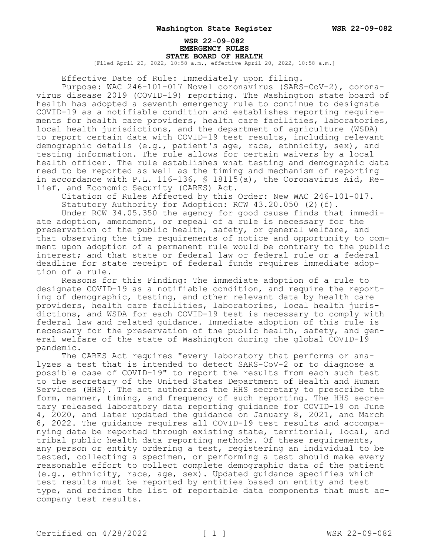### **WSR 22-09-082 EMERGENCY RULES STATE BOARD OF HEALTH**

[Filed April 20, 2022, 10:58 a.m., effective April 20, 2022, 10:58 a.m.]

Effective Date of Rule: Immediately upon filing.

Purpose: WAC 246-101-017 Novel coronavirus (SARS-CoV-2), coronavirus disease 2019 (COVID-19) reporting. The Washington state board of health has adopted a seventh emergency rule to continue to designate COVID-19 as a notifiable condition and establishes reporting requirements for health care providers, health care facilities, laboratories, local health jurisdictions, and the department of agriculture (WSDA) to report certain data with COVID-19 test results, including relevant demographic details (e.g., patient's age, race, ethnicity, sex), and testing information. The rule allows for certain waivers by a local health officer. The rule establishes what testing and demographic data need to be reported as well as the timing and mechanism of reporting in accordance with P.L. 116-136, § 18115(a), the Coronavirus Aid, Relief, and Economic Security (CARES) Act.

Citation of Rules Affected by this Order: New WAC 246-101-017. Statutory Authority for Adoption: RCW 43.20.050 (2)(f).

Under RCW 34.05.350 the agency for good cause finds that immediate adoption, amendment, or repeal of a rule is necessary for the preservation of the public health, safety, or general welfare, and that observing the time requirements of notice and opportunity to comment upon adoption of a permanent rule would be contrary to the public interest; and that state or federal law or federal rule or a federal deadline for state receipt of federal funds requires immediate adoption of a rule.

Reasons for this Finding: The immediate adoption of a rule to designate COVID-19 as a notifiable condition, and require the reporting of demographic, testing, and other relevant data by health care providers, health care facilities, laboratories, local health jurisdictions, and WSDA for each COVID-19 test is necessary to comply with federal law and related guidance. Immediate adoption of this rule is necessary for the preservation of the public health, safety, and general welfare of the state of Washington during the global COVID-19 pandemic.

The CARES Act requires "every laboratory that performs or analyzes a test that is intended to detect SARS-CoV-2 or to diagnose a possible case of COVID-19" to report the results from each such test to the secretary of the United States Department of Health and Human Services (HHS). The act authorizes the HHS secretary to prescribe the form, manner, timing, and frequency of such reporting. The HHS secretary released laboratory data reporting guidance for COVID-19 on June 4, 2020, and later updated the guidance on January 8, 2021, and March 8, 2022. The guidance requires all COVID-19 test results and accompanying data be reported through existing state, territorial, local, and tribal public health data reporting methods. Of these requirements, any person or entity ordering a test, registering an individual to be tested, collecting a specimen, or performing a test should make every reasonable effort to collect complete demographic data of the patient (e.g., ethnicity, race, age, sex). Updated guidance specifies which test results must be reported by entities based on entity and test type, and refines the list of reportable data components that must accompany test results.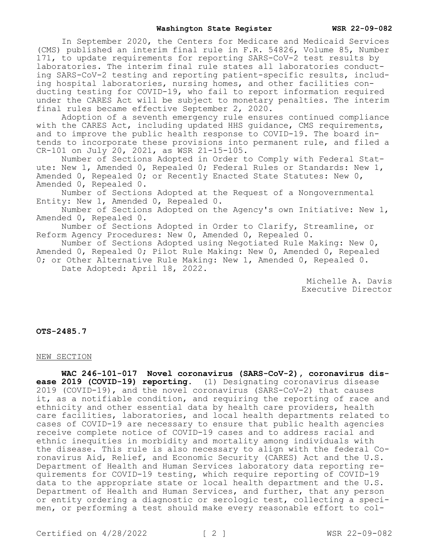In September 2020, the Centers for Medicare and Medicaid Services (CMS) published an interim final rule in F.R. 54826, Volume 85, Number 171, to update requirements for reporting SARS-CoV-2 test results by laboratories. The interim final rule states all laboratories conducting SARS-CoV-2 testing and reporting patient-specific results, including hospital laboratories, nursing homes, and other facilities conducting testing for COVID-19, who fail to report information required under the CARES Act will be subject to monetary penalties. The interim final rules became effective September 2, 2020.

Adoption of a seventh emergency rule ensures continued compliance with the CARES Act, including updated HHS quidance, CMS requirements, and to improve the public health response to COVID-19. The board intends to incorporate these provisions into permanent rule, and filed a CR-101 on July 20, 2021, as WSR 21-15-105.

Number of Sections Adopted in Order to Comply with Federal Statute: New 1, Amended 0, Repealed 0; Federal Rules or Standards: New 1, Amended 0, Repealed 0; or Recently Enacted State Statutes: New 0, Amended 0, Repealed 0.

Number of Sections Adopted at the Request of a Nongovernmental Entity: New 1, Amended 0, Repealed 0.

Number of Sections Adopted on the Agency's own Initiative: New 1, Amended 0, Repealed 0.

Number of Sections Adopted in Order to Clarify, Streamline, or Reform Agency Procedures: New 0, Amended 0, Repealed 0.

Number of Sections Adopted using Negotiated Rule Making: New 0, Amended 0, Repealed 0; Pilot Rule Making: New 0, Amended 0, Repealed 0; or Other Alternative Rule Making: New 1, Amended 0, Repealed 0. Date Adopted: April 18, 2022.

> Michelle A. Davis Executive Director

**OTS-2485.7**

#### NEW SECTION

**WAC 246-101-017 Novel coronavirus (SARS-CoV-2), coronavirus disease 2019 (COVID-19) reporting.** (1) Designating coronavirus disease 2019 (COVID-19), and the novel coronavirus (SARS-CoV-2) that causes it, as a notifiable condition, and requiring the reporting of race and ethnicity and other essential data by health care providers, health care facilities, laboratories, and local health departments related to cases of COVID-19 are necessary to ensure that public health agencies receive complete notice of COVID-19 cases and to address racial and ethnic inequities in morbidity and mortality among individuals with the disease. This rule is also necessary to align with the federal Coronavirus Aid, Relief, and Economic Security (CARES) Act and the U.S. Department of Health and Human Services laboratory data reporting requirements for COVID-19 testing, which require reporting of COVID-19 data to the appropriate state or local health department and the U.S. Department of Health and Human Services, and further, that any person or entity ordering a diagnostic or serologic test, collecting a specimen, or performing a test should make every reasonable effort to col-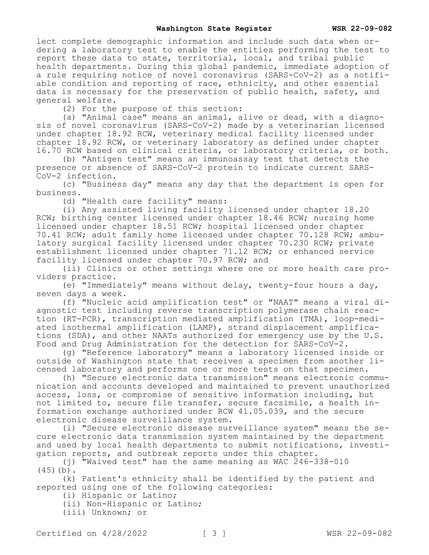lect complete demographic information and include such data when ordering a laboratory test to enable the entities performing the test to report these data to state, territorial, local, and tribal public health departments. During this global pandemic, immediate adoption of a rule requiring notice of novel coronavirus (SARS-CoV-2) as a notifiable condition and reporting of race, ethnicity, and other essential data is necessary for the preservation of public health, safety, and general welfare.

(2) For the purpose of this section:

(a) "Animal case" means an animal, alive or dead, with a diagnosis of novel coronavirus (SARS-CoV-2) made by a veterinarian licensed under chapter 18.92 RCW, veterinary medical facility licensed under chapter 18.92 RCW, or veterinary laboratory as defined under chapter 16.70 RCW based on clinical criteria, or laboratory criteria, or both.

(b) "Antigen test" means an immunoassay test that detects the presence or absence of SARS-CoV-2 protein to indicate current SARS-CoV-2 infection.

(c) "Business day" means any day that the department is open for business.

(d) "Health care facility" means:

(i) Any assisted living facility licensed under chapter 18.20 RCW; birthing center licensed under chapter 18.46 RCW; nursing home licensed under chapter 18.51 RCW; hospital licensed under chapter 70.41 RCW; adult family home licensed under chapter 70.128 RCW; ambulatory surgical facility licensed under chapter 70.230 RCW; private establishment licensed under chapter 71.12 RCW; or enhanced service facility licensed under chapter 70.97 RCW; and

(ii) Clinics or other settings where one or more health care providers practice.

(e) "Immediately" means without delay, twenty-four hours a day, seven days a week.

(f) "Nucleic acid amplification test" or "NAAT" means a viral diagnostic test including reverse transcription polymerase chain reaction (RT-PCR), transcription mediated amplification (TMA), loop-mediated isothermal amplification (LAMP), strand displacement amplifications (SDA), and other NAATs authorized for emergency use by the U.S. Food and Drug Administration for the detection for SARS-CoV-2.

(g) "Reference laboratory" means a laboratory licensed inside or outside of Washington state that receives a specimen from another licensed laboratory and performs one or more tests on that specimen.

(h) "Secure electronic data transmission" means electronic communication and accounts developed and maintained to prevent unauthorized access, loss, or compromise of sensitive information including, but not limited to, secure file transfer, secure facsimile, a health information exchange authorized under RCW 41.05.039, and the secure electronic disease surveillance system.

(i) "Secure electronic disease surveillance system" means the secure electronic data transmission system maintained by the department and used by local health departments to submit notifications, investigation reports, and outbreak reports under this chapter.

(j) "Waived test" has the same meaning as WAC 246-338-010  $(45)(b)$ .

(k) Patient's ethnicity shall be identified by the patient and reported using one of the following categories:

(i) Hispanic or Latino;

(ii) Non-Hispanic or Latino;

(iii) Unknown; or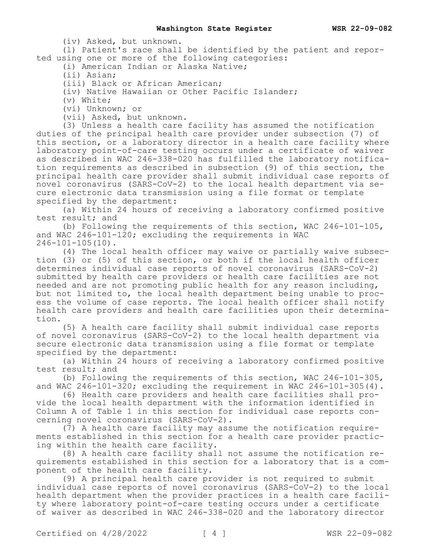(iv) Asked, but unknown.

(l) Patient's race shall be identified by the patient and reported using one or more of the following categories:

(i) American Indian or Alaska Native;

(ii) Asian;

(iii) Black or African American;

(iv) Native Hawaiian or Other Pacific Islander;

(v) White;

(vi) Unknown; or

(vii) Asked, but unknown.

(3) Unless a health care facility has assumed the notification duties of the principal health care provider under subsection (7) of this section, or a laboratory director in a health care facility where laboratory point-of-care testing occurs under a certificate of waiver as described in WAC 246-338-020 has fulfilled the laboratory notification requirements as described in subsection (9) of this section, the principal health care provider shall submit individual case reports of novel coronavirus (SARS-CoV-2) to the local health department via secure electronic data transmission using a file format or template specified by the department:

(a) Within 24 hours of receiving a laboratory confirmed positive test result; and

(b) Following the requirements of this section, WAC 246-101-105, and WAC 246-101-120; excluding the requirements in WAC 246-101-105(10).

(4) The local health officer may waive or partially waive subsection (3) or (5) of this section, or both if the local health officer determines individual case reports of novel coronavirus (SARS-CoV-2) submitted by health care providers or health care facilities are not needed and are not promoting public health for any reason including, but not limited to, the local health department being unable to process the volume of case reports. The local health officer shall notify health care providers and health care facilities upon their determination.

(5) A health care facility shall submit individual case reports of novel coronavirus (SARS-CoV-2) to the local health department via secure electronic data transmission using a file format or template specified by the department:

(a) Within 24 hours of receiving a laboratory confirmed positive test result; and

(b) Following the requirements of this section, WAC 246-101-305, and WAC  $246-101-320$ ; excluding the requirement in WAC  $246-101-305(4)$ .

(6) Health care providers and health care facilities shall provide the local health department with the information identified in Column A of Table 1 in this section for individual case reports concerning novel coronavirus (SARS-CoV-2).

(7) A health care facility may assume the notification requirements established in this section for a health care provider practicing within the health care facility.

(8) A health care facility shall not assume the notification requirements established in this section for a laboratory that is a component of the health care facility.

(9) A principal health care provider is not required to submit individual case reports of novel coronavirus (SARS-CoV-2) to the local health department when the provider practices in a health care facility where laboratory point-of-care testing occurs under a certificate of waiver as described in WAC 246-338-020 and the laboratory director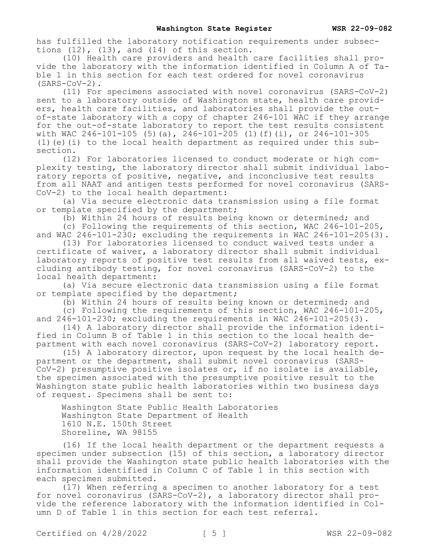has fulfilled the laboratory notification requirements under subsections  $(12)$ ,  $(13)$ , and  $(14)$  of this section.

(10) Health care providers and health care facilities shall provide the laboratory with the information identified in Column A of Table 1 in this section for each test ordered for novel coronavirus (SARS-CoV-2).

(11) For specimens associated with novel coronavirus (SARS-CoV-2) sent to a laboratory outside of Washington state, health care providers, health care facilities, and laboratories shall provide the outof-state laboratory with a copy of chapter 246-101 WAC if they arrange for the out-of-state laboratory to report the test results consistent with WAC 246-101-105 (5)(a),  $246-101-205$  (1)(f)(i), or 246-101-305 (1)(e)(i) to the local health department as required under this subsection.

(12) For laboratories licensed to conduct moderate or high complexity testing, the laboratory director shall submit individual laboratory reports of positive, negative, and inconclusive test results from all NAAT and antigen tests performed for novel coronavirus (SARS-CoV-2) to the local health department:

(a) Via secure electronic data transmission using a file format or template specified by the department;

(b) Within 24 hours of results being known or determined; and

(c) Following the requirements of this section, WAC 246-101-205, and WAC  $246-101-230$ ; excluding the requirements in WAC  $246-101-205(3)$ .

(13) For laboratories licensed to conduct waived tests under a certificate of waiver, a laboratory director shall submit individual laboratory reports of positive test results from all waived tests, excluding antibody testing, for novel coronavirus (SARS-CoV-2) to the local health department:

(a) Via secure electronic data transmission using a file format or template specified by the department;

(b) Within 24 hours of results being known or determined; and

(c) Following the requirements of this section, WAC 246-101-205, and  $246-101-230$ ; excluding the requirements in WAC  $246-101-205(3)$ .

(14) A laboratory director shall provide the information identified in Column B of Table 1 in this section to the local health department with each novel coronavirus (SARS-CoV-2) laboratory report.

(15) A laboratory director, upon request by the local health department or the department, shall submit novel coronavirus (SARS-CoV-2) presumptive positive isolates or, if no isolate is available, the specimen associated with the presumptive positive result to the Washington state public health laboratories within two business days of request. Specimens shall be sent to:

Washington State Public Health Laboratories Washington State Department of Health 1610 N.E. 150th Street Shoreline, WA 98155

(16) If the local health department or the department requests a specimen under subsection (15) of this section, a laboratory director shall provide the Washington state public health laboratories with the information identified in Column C of Table 1 in this section with each specimen submitted.

(17) When referring a specimen to another laboratory for a test for novel coronavirus (SARS-CoV-2), a laboratory director shall provide the reference laboratory with the information identified in Column D of Table 1 in this section for each test referral.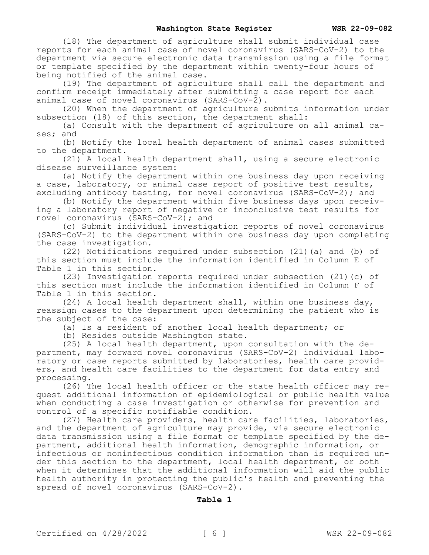(18) The department of agriculture shall submit individual case reports for each animal case of novel coronavirus (SARS-CoV-2) to the department via secure electronic data transmission using a file format or template specified by the department within twenty-four hours of being notified of the animal case.

(19) The department of agriculture shall call the department and confirm receipt immediately after submitting a case report for each animal case of novel coronavirus (SARS-CoV-2).

(20) When the department of agriculture submits information under subsection (18) of this section, the department shall:

(a) Consult with the department of agriculture on all animal cases; and

(b) Notify the local health department of animal cases submitted to the department.

(21) A local health department shall, using a secure electronic disease surveillance system:

(a) Notify the department within one business day upon receiving a case, laboratory, or animal case report of positive test results, excluding antibody testing, for novel coronavirus (SARS-CoV-2); and

(b) Notify the department within five business days upon receiving a laboratory report of negative or inconclusive test results for novel coronavirus (SARS-CoV-2); and

(c) Submit individual investigation reports of novel coronavirus (SARS-CoV-2) to the department within one business day upon completing the case investigation.

(22) Notifications required under subsection (21)(a) and (b) of this section must include the information identified in Column E of Table 1 in this section.

(23) Investigation reports required under subsection (21)(c) of this section must include the information identified in Column F of Table 1 in this section.

(24) A local health department shall, within one business day, reassign cases to the department upon determining the patient who is the subject of the case:

(a) Is a resident of another local health department; or

(b) Resides outside Washington state.

(25) A local health department, upon consultation with the department, may forward novel coronavirus (SARS-CoV-2) individual laboratory or case reports submitted by laboratories, health care providers, and health care facilities to the department for data entry and processing.

(26) The local health officer or the state health officer may request additional information of epidemiological or public health value when conducting a case investigation or otherwise for prevention and control of a specific notifiable condition.

(27) Health care providers, health care facilities, laboratories, and the department of agriculture may provide, via secure electronic data transmission using a file format or template specified by the department, additional health information, demographic information, or infectious or noninfectious condition information than is required under this section to the department, local health department, or both when it determines that the additional information will aid the public health authority in protecting the public's health and preventing the spread of novel coronavirus (SARS-CoV-2).

## **Table 1**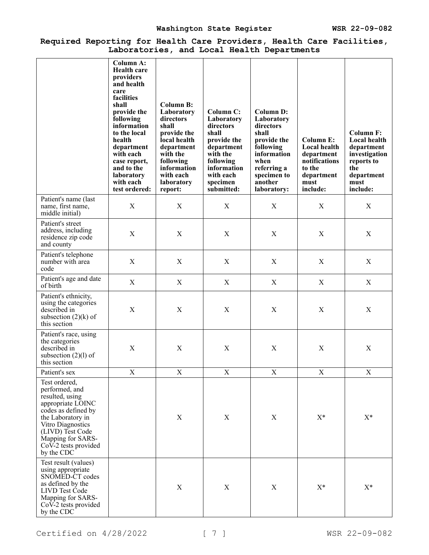## **Required Reporting for Health Care Providers, Health Care Facilities, Laboratories, and Local Health Departments**

|                                                                                                                                                                                                                                  | <b>Column A:</b>                                                                                                                                                                                                                                              |                                                                                                                                                                                 |                                                                                                                                                           |                                                                                                                                                                 |                                                                                                             |                                                                                                                        |
|----------------------------------------------------------------------------------------------------------------------------------------------------------------------------------------------------------------------------------|---------------------------------------------------------------------------------------------------------------------------------------------------------------------------------------------------------------------------------------------------------------|---------------------------------------------------------------------------------------------------------------------------------------------------------------------------------|-----------------------------------------------------------------------------------------------------------------------------------------------------------|-----------------------------------------------------------------------------------------------------------------------------------------------------------------|-------------------------------------------------------------------------------------------------------------|------------------------------------------------------------------------------------------------------------------------|
|                                                                                                                                                                                                                                  | <b>Health care</b><br>providers<br>and health<br>care<br>facilities<br>shall<br>provide the<br>following<br>information<br>to the local<br>health<br>department<br>with each<br>case report,<br>and to the<br><b>laboratory</b><br>with each<br>test ordered: | <b>Column B:</b><br>Laboratory<br>directors<br>shall<br>provide the<br>local health<br>department<br>with the<br>following<br>information<br>with each<br>laboratory<br>report: | Column C:<br>Laboratory<br>directors<br>shall<br>provide the<br>department<br>with the<br>following<br>information<br>with each<br>specimen<br>submitted: | <b>Column D:</b><br>Laboratory<br>directors<br>shall<br>provide the<br>following<br>information<br>when<br>referring a<br>specimen to<br>another<br>laboratory: | <b>Column E:</b><br>Local health<br>department<br>notifications<br>to the<br>department<br>must<br>include: | <b>Column F:</b><br>Local health<br>department<br>investigation<br>reports to<br>the<br>department<br>must<br>include: |
| Patient's name (last<br>name, first name,<br>middle initial)                                                                                                                                                                     | $\mathbf X$                                                                                                                                                                                                                                                   | X                                                                                                                                                                               | X                                                                                                                                                         | X                                                                                                                                                               | X                                                                                                           | X                                                                                                                      |
| Patient's street<br>address, including<br>residence zip code<br>and county                                                                                                                                                       | $\boldsymbol{\mathrm{X}}$                                                                                                                                                                                                                                     | X                                                                                                                                                                               | X                                                                                                                                                         | X                                                                                                                                                               | X                                                                                                           | X                                                                                                                      |
| Patient's telephone<br>number with area<br>code                                                                                                                                                                                  | $\mathbf X$                                                                                                                                                                                                                                                   | $\boldsymbol{\mathrm{X}}$                                                                                                                                                       | $\mathbf X$                                                                                                                                               | $\mathbf X$                                                                                                                                                     | $\mathbf X$                                                                                                 | $\mathbf X$                                                                                                            |
| Patient's age and date<br>of birth                                                                                                                                                                                               | X                                                                                                                                                                                                                                                             | X                                                                                                                                                                               | X                                                                                                                                                         | X                                                                                                                                                               | X                                                                                                           | X                                                                                                                      |
| Patient's ethnicity,<br>using the categories<br>described in<br>subsection $(2)(k)$ of<br>this section                                                                                                                           | X                                                                                                                                                                                                                                                             | X                                                                                                                                                                               | X                                                                                                                                                         | X                                                                                                                                                               | X                                                                                                           | X                                                                                                                      |
| Patient's race, using<br>the categories<br>described in<br>subsection $(2)(l)$ of<br>this section                                                                                                                                | $\boldsymbol{\mathrm{X}}$                                                                                                                                                                                                                                     | $\mathbf X$                                                                                                                                                                     | $\mathbf X$                                                                                                                                               | $\mathbf X$                                                                                                                                                     | $\mathbf X$                                                                                                 | $\mathbf X$                                                                                                            |
| Patient's sex                                                                                                                                                                                                                    | X                                                                                                                                                                                                                                                             | X                                                                                                                                                                               | X                                                                                                                                                         | X                                                                                                                                                               | X                                                                                                           | X                                                                                                                      |
| Test ordered,<br>performed, and<br>resulted, using<br>appropriate LOINC<br>codes as defined by<br>the Laboratory in<br>Vitro Diagnostics<br>(LIVD) Test Code<br>Mapping for SARS-<br>$Co\bar{V}$ -2 tests provided<br>by the CDC |                                                                                                                                                                                                                                                               | X                                                                                                                                                                               | $\mathbf X$                                                                                                                                               | $\mathbf X$                                                                                                                                                     | $X^*$                                                                                                       | $X^*$                                                                                                                  |
| Test result (values)<br>using appropriate<br>SNOMED-CT codes<br>as defined by the<br>LIVD Test Code<br>Mapping for SARS-<br>CoV-2 tests provided<br>by the CDC                                                                   |                                                                                                                                                                                                                                                               | $\mathbf X$                                                                                                                                                                     | $\mathbf X$                                                                                                                                               | $\mathbf X$                                                                                                                                                     | $\mathbf{X}^*$                                                                                              | $X^*$                                                                                                                  |

Certified on 4/28/2022 [ 7 ] WSR 22-09-082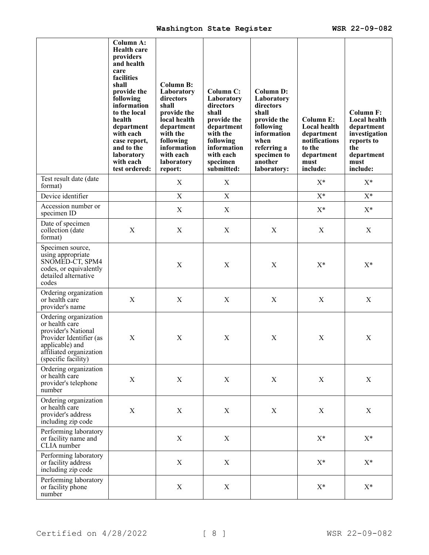|                                                                                                                                                                | Column A:<br><b>Health care</b><br>providers<br>and health<br>care<br>facilities<br>shall<br>provide the<br>following<br>information<br>to the local<br>health<br>department<br>with each<br>case report,<br>and to the<br>laboratory<br>with each<br>test ordered: | <b>Column B:</b><br>Laboratory<br>directors<br>shall<br>provide the<br>local health<br>department<br>with the<br>following<br>information<br>with each<br>laboratory<br>report: | Column C:<br>Laboratory<br>directors<br>shall<br>provide the<br>department<br>with the<br>following<br>information<br>with each<br>specimen<br>submitted: | <b>Column D:</b><br>Laboratory<br>directors<br>shall<br>provide the<br>following<br>information<br>when<br>referring a<br>specimen to<br>another<br>laboratory: | Column E:<br>Local health<br>department<br>notifications<br>to the<br>department<br>must<br>include: | <b>Column F:</b><br><b>Local health</b><br>department<br>investigation<br>reports to<br>the<br>department<br>must<br>include: |
|----------------------------------------------------------------------------------------------------------------------------------------------------------------|---------------------------------------------------------------------------------------------------------------------------------------------------------------------------------------------------------------------------------------------------------------------|---------------------------------------------------------------------------------------------------------------------------------------------------------------------------------|-----------------------------------------------------------------------------------------------------------------------------------------------------------|-----------------------------------------------------------------------------------------------------------------------------------------------------------------|------------------------------------------------------------------------------------------------------|-------------------------------------------------------------------------------------------------------------------------------|
| Test result date (date<br>format)                                                                                                                              |                                                                                                                                                                                                                                                                     | X                                                                                                                                                                               | $\mathbf X$                                                                                                                                               |                                                                                                                                                                 | $X^*$                                                                                                | $X^*$                                                                                                                         |
| Device identifier                                                                                                                                              |                                                                                                                                                                                                                                                                     | $\mathbf X$                                                                                                                                                                     | $\mathbf X$                                                                                                                                               |                                                                                                                                                                 | $X^*$                                                                                                | $X^*$                                                                                                                         |
| Accession number or<br>specimen ID                                                                                                                             |                                                                                                                                                                                                                                                                     | $\mathbf X$                                                                                                                                                                     | $\mathbf X$                                                                                                                                               |                                                                                                                                                                 | $X^*$                                                                                                | $X^*$                                                                                                                         |
| Date of specimen<br>collection (date<br>format)                                                                                                                | $\boldsymbol{\mathrm{X}}$                                                                                                                                                                                                                                           | $\mathbf X$                                                                                                                                                                     | $\mathbf X$                                                                                                                                               | X                                                                                                                                                               | $\mathbf X$                                                                                          | $\mathbf X$                                                                                                                   |
| Specimen source,<br>using appropriate<br>SNOMED-CT, SPM4<br>codes, or equivalently<br>detailed alternative<br>codes                                            |                                                                                                                                                                                                                                                                     | X                                                                                                                                                                               | X                                                                                                                                                         | X                                                                                                                                                               | $X^*$                                                                                                | $X^*$                                                                                                                         |
| Ordering organization<br>or health care<br>provider's name                                                                                                     | $\boldsymbol{\mathrm{X}}$                                                                                                                                                                                                                                           | $\mathbf X$                                                                                                                                                                     | X                                                                                                                                                         | X                                                                                                                                                               | X                                                                                                    | $\boldsymbol{X}$                                                                                                              |
| Ordering organization<br>or health care<br>provider's National<br>Provider Identifier (as<br>applicable) and<br>affiliated organization<br>(specific facility) | $\mathbf X$                                                                                                                                                                                                                                                         | $\mathbf X$                                                                                                                                                                     | $\mathbf X$                                                                                                                                               | X                                                                                                                                                               | X                                                                                                    | $\mathbf X$                                                                                                                   |
| Ordering organization<br>or health care<br>provider's telephone<br>number                                                                                      | $\mathbf X$                                                                                                                                                                                                                                                         | $\mathbf X$                                                                                                                                                                     | $\mathbf X$                                                                                                                                               | X                                                                                                                                                               | X                                                                                                    | X                                                                                                                             |
| Ordering organization<br>or health care<br>provider's address<br>including zip code                                                                            | $\mathbf X$                                                                                                                                                                                                                                                         | $\mathbf X$                                                                                                                                                                     | X                                                                                                                                                         | $\mathbf X$                                                                                                                                                     | $\mathbf X$                                                                                          | $\boldsymbol{X}$                                                                                                              |
| Performing laboratory<br>or facility name and<br>CLIA number                                                                                                   |                                                                                                                                                                                                                                                                     | X                                                                                                                                                                               | $\mathbf X$                                                                                                                                               |                                                                                                                                                                 | $X^*$                                                                                                | $X^*$                                                                                                                         |
| Performing laboratory<br>or facility address<br>including zip code                                                                                             |                                                                                                                                                                                                                                                                     | $\mathbf X$                                                                                                                                                                     | $\mathbf X$                                                                                                                                               |                                                                                                                                                                 | $X^*$                                                                                                | $X^*$                                                                                                                         |
| Performing laboratory<br>or facility phone<br>number                                                                                                           |                                                                                                                                                                                                                                                                     | X                                                                                                                                                                               | X                                                                                                                                                         |                                                                                                                                                                 | $X^*$                                                                                                | $X^*$                                                                                                                         |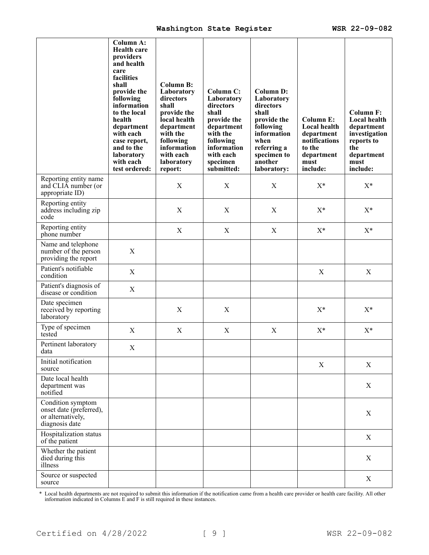|                                                                                     | <b>Column A:</b><br><b>Health care</b><br>providers<br>and health<br>care<br>facilities<br>shall<br>provide the<br>following<br>information<br>to the local<br>health<br>department<br>with each<br>case report,<br>and to the<br>laboratory<br>with each<br>test ordered: | <b>Column B:</b><br>Laboratory<br>directors<br>shall<br>provide the<br>local health<br>department<br>with the<br>following<br>information<br>with each<br>laboratory<br>report: | Column C:<br>Laboratory<br>directors<br>shall<br>provide the<br>department<br>with the<br>following<br>information<br>with each<br>specimen<br>submitted: | <b>Column D:</b><br>Laboratory<br>directors<br>shall<br>provide the<br>following<br>information<br>when<br>referring a<br>specimen to<br>another<br>laboratory: | Column E:<br>Local health<br>department<br>notifications<br>to the<br>department<br>must<br>include: | <b>Column F:</b><br>Local health<br>department<br>investigation<br>reports to<br>the<br>department<br>must<br>include: |
|-------------------------------------------------------------------------------------|----------------------------------------------------------------------------------------------------------------------------------------------------------------------------------------------------------------------------------------------------------------------------|---------------------------------------------------------------------------------------------------------------------------------------------------------------------------------|-----------------------------------------------------------------------------------------------------------------------------------------------------------|-----------------------------------------------------------------------------------------------------------------------------------------------------------------|------------------------------------------------------------------------------------------------------|------------------------------------------------------------------------------------------------------------------------|
| Reporting entity name<br>and CLIA number (or<br>appropriate ID)                     |                                                                                                                                                                                                                                                                            | $\mathbf X$                                                                                                                                                                     | $\mathbf X$                                                                                                                                               | $\mathbf X$                                                                                                                                                     | $X^*$                                                                                                | $X^*$                                                                                                                  |
| Reporting entity<br>address including zip<br>code                                   |                                                                                                                                                                                                                                                                            | X                                                                                                                                                                               | X                                                                                                                                                         | X                                                                                                                                                               | $X^*$                                                                                                | $X^*$                                                                                                                  |
| Reporting entity<br>phone number                                                    |                                                                                                                                                                                                                                                                            | X                                                                                                                                                                               | X                                                                                                                                                         | X                                                                                                                                                               | $X^*$                                                                                                | $X^*$                                                                                                                  |
| Name and telephone<br>number of the person<br>providing the report                  | $\mathbf X$                                                                                                                                                                                                                                                                |                                                                                                                                                                                 |                                                                                                                                                           |                                                                                                                                                                 |                                                                                                      |                                                                                                                        |
| Patient's notifiable<br>condition                                                   | X                                                                                                                                                                                                                                                                          |                                                                                                                                                                                 |                                                                                                                                                           |                                                                                                                                                                 | X                                                                                                    | X                                                                                                                      |
| Patient's diagnosis of<br>disease or condition                                      | X                                                                                                                                                                                                                                                                          |                                                                                                                                                                                 |                                                                                                                                                           |                                                                                                                                                                 |                                                                                                      |                                                                                                                        |
| Date specimen<br>received by reporting<br>laboratory                                |                                                                                                                                                                                                                                                                            | X                                                                                                                                                                               | X                                                                                                                                                         |                                                                                                                                                                 | $X^*$                                                                                                | $X^*$                                                                                                                  |
| Type of specimen<br>tested                                                          | X                                                                                                                                                                                                                                                                          | X                                                                                                                                                                               | X                                                                                                                                                         | X                                                                                                                                                               | $X^*$                                                                                                | $X^*$                                                                                                                  |
| Pertinent laboratory<br>data                                                        | X                                                                                                                                                                                                                                                                          |                                                                                                                                                                                 |                                                                                                                                                           |                                                                                                                                                                 |                                                                                                      |                                                                                                                        |
| Initial notification<br>source                                                      |                                                                                                                                                                                                                                                                            |                                                                                                                                                                                 |                                                                                                                                                           |                                                                                                                                                                 | X                                                                                                    | X                                                                                                                      |
| Date local health<br>department was<br>notified                                     |                                                                                                                                                                                                                                                                            |                                                                                                                                                                                 |                                                                                                                                                           |                                                                                                                                                                 |                                                                                                      | X                                                                                                                      |
| Condition symptom<br>onset date (preferred),<br>or alternatively,<br>diagnosis date |                                                                                                                                                                                                                                                                            |                                                                                                                                                                                 |                                                                                                                                                           |                                                                                                                                                                 |                                                                                                      | X                                                                                                                      |
| Hospitalization status<br>of the patient                                            |                                                                                                                                                                                                                                                                            |                                                                                                                                                                                 |                                                                                                                                                           |                                                                                                                                                                 |                                                                                                      | X                                                                                                                      |
| Whether the patient<br>died during this<br>illness                                  |                                                                                                                                                                                                                                                                            |                                                                                                                                                                                 |                                                                                                                                                           |                                                                                                                                                                 |                                                                                                      | X                                                                                                                      |
| Source or suspected<br>source                                                       |                                                                                                                                                                                                                                                                            |                                                                                                                                                                                 |                                                                                                                                                           |                                                                                                                                                                 |                                                                                                      | X                                                                                                                      |

\* Local health departments are not required to submit this information if the notification came from a health care provider or health care facility. All other information indicated in Columns E and F is still required in these instances.